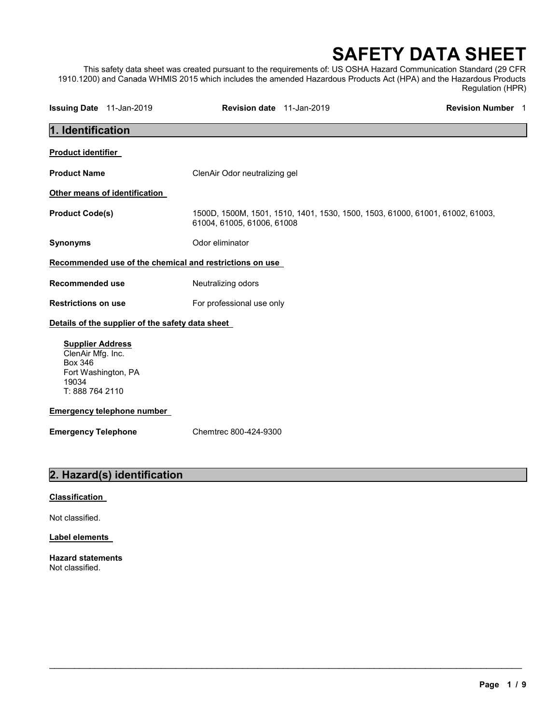# SAFETY DATA SHEET

This safety data sheet was created pursuant to the requirements of: US OSHA Hazard Communication Standard (29 CFR 1910.1200) and Canada WHMIS 2015 which includes the amended Hazardous Products Act (HPA) and the Hazardous Products Regulation (HPR)

| Issuing Date 11-Jan-2019                                                                                          |                                                  | Revision date 11-Jan-2019                               |                                                                               | <b>Revision Number 1</b> |
|-------------------------------------------------------------------------------------------------------------------|--------------------------------------------------|---------------------------------------------------------|-------------------------------------------------------------------------------|--------------------------|
| 1. Identification                                                                                                 |                                                  |                                                         |                                                                               |                          |
| <b>Product identifier</b>                                                                                         |                                                  |                                                         |                                                                               |                          |
| <b>Product Name</b>                                                                                               |                                                  | ClenAir Odor neutralizing gel                           |                                                                               |                          |
| Other means of identification                                                                                     |                                                  |                                                         |                                                                               |                          |
| <b>Product Code(s)</b>                                                                                            |                                                  | 61004, 61005, 61006, 61008                              | 1500D, 1500M, 1501, 1510, 1401, 1530, 1500, 1503, 61000, 61001, 61002, 61003, |                          |
| <b>Synonyms</b>                                                                                                   |                                                  | Odor eliminator                                         |                                                                               |                          |
|                                                                                                                   |                                                  | Recommended use of the chemical and restrictions on use |                                                                               |                          |
| <b>Recommended use</b>                                                                                            |                                                  | Neutralizing odors                                      |                                                                               |                          |
| <b>Restrictions on use</b>                                                                                        |                                                  | For professional use only                               |                                                                               |                          |
|                                                                                                                   | Details of the supplier of the safety data sheet |                                                         |                                                                               |                          |
| <b>Supplier Address</b><br>ClenAir Mfg. Inc.<br><b>Box 346</b><br>Fort Washington, PA<br>19034<br>T: 888 764 2110 |                                                  |                                                         |                                                                               |                          |
| <b>Emergency telephone number</b>                                                                                 |                                                  |                                                         |                                                                               |                          |
| <b>Emergency Telephone</b>                                                                                        |                                                  | Chemtrec 800-424-9300                                   |                                                                               |                          |
|                                                                                                                   | 2. Hazard(s) identification                      |                                                         |                                                                               |                          |
| Classification                                                                                                    |                                                  |                                                         |                                                                               |                          |

#### mication

Not classified.

#### Label elements

Hazard statements Not classified.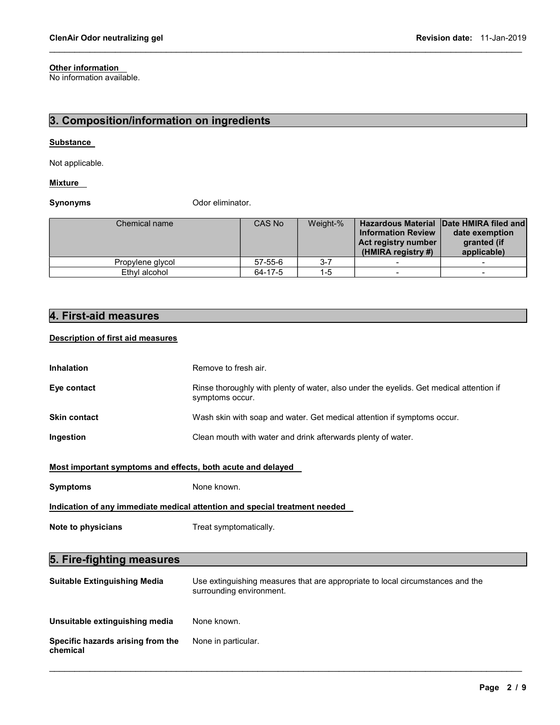### **Other information**

No information available.

### 3. Composition/information on ingredients

#### **Substance**

Not applicable.

#### **Mixture**

Synonyms **Constanting Constanting Constanting Constanting Constanting Constanting Constanting Constanting Constanting Constanting Constanting Constanting Constanting Constanting Constanting Constanting Constanting Constant** 

| Chemical name    | CAS No        | Weight-% | <b>Information Review</b><br>Act registry number<br>$(HMIRA$ registry #) | <b>Hazardous Material Date HMIRA filed and</b><br>date exemption<br>granted (if<br>applicable) |
|------------------|---------------|----------|--------------------------------------------------------------------------|------------------------------------------------------------------------------------------------|
| Propylene glycol | $57 - 55 - 6$ | $3 - 7$  | $\overline{\phantom{0}}$                                                 |                                                                                                |
| Ethyl alcohol    | 64-17-5       | 1-5      | $\overline{\phantom{0}}$                                                 |                                                                                                |

 $\mathcal{L}_\mathcal{L} = \{ \mathcal{L}_\mathcal{L} = \{ \mathcal{L}_\mathcal{L} = \{ \mathcal{L}_\mathcal{L} = \{ \mathcal{L}_\mathcal{L} = \{ \mathcal{L}_\mathcal{L} = \{ \mathcal{L}_\mathcal{L} = \{ \mathcal{L}_\mathcal{L} = \{ \mathcal{L}_\mathcal{L} = \{ \mathcal{L}_\mathcal{L} = \{ \mathcal{L}_\mathcal{L} = \{ \mathcal{L}_\mathcal{L} = \{ \mathcal{L}_\mathcal{L} = \{ \mathcal{L}_\mathcal{L} = \{ \mathcal{L}_\mathcal{$ 

### 4. First-aid measures

### Description of first aid measures

| <b>Inhalation</b>                                           | Remove to fresh air.                                                                                       |  |  |
|-------------------------------------------------------------|------------------------------------------------------------------------------------------------------------|--|--|
| Eye contact                                                 | Rinse thoroughly with plenty of water, also under the eyelids. Get medical attention if<br>symptoms occur. |  |  |
| <b>Skin contact</b>                                         | Wash skin with soap and water. Get medical attention if symptoms occur.                                    |  |  |
| Ingestion                                                   | Clean mouth with water and drink afterwards plenty of water.                                               |  |  |
| Most important symptoms and effects, both acute and delayed |                                                                                                            |  |  |
| <b>Symptoms</b>                                             | None known.                                                                                                |  |  |
|                                                             | Indication of any immediate medical attention and special treatment needed                                 |  |  |
| Note to physicians                                          | Treat symptomatically.                                                                                     |  |  |
|                                                             |                                                                                                            |  |  |
| 5. Fire-fighting measures                                   |                                                                                                            |  |  |
| Suitable Extinguishing Media                                | Use extinguishing measures that are appropriate to local circumstances and the                             |  |  |

| <b>Suitable Extinguishing Media</b>           | Use extinguishing measures that are appropriate to local circumstances and the<br>surrounding environment. |
|-----------------------------------------------|------------------------------------------------------------------------------------------------------------|
| Unsuitable extinguishing media                | None known.                                                                                                |
| Specific hazards arising from the<br>chemical | None in particular.                                                                                        |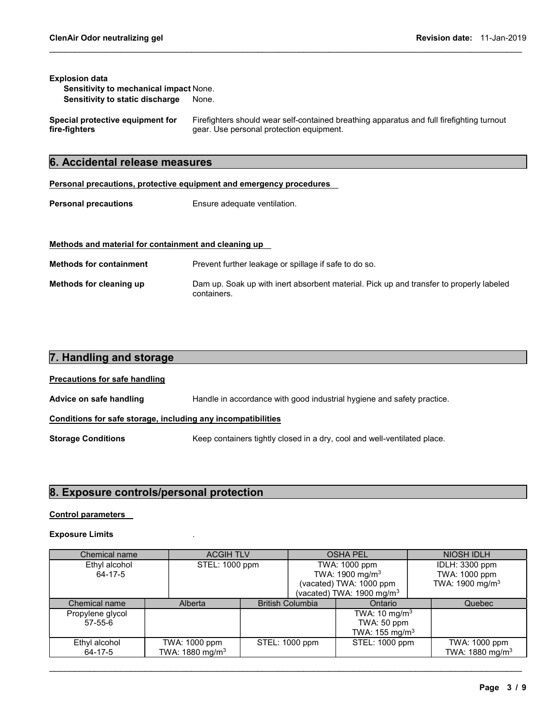#### Explosion data

Sensitivity to mechanical impact None. Sensitivity to static discharge None.

Special protective equipment for fire-fighters Firefighters should wear self-contained breathing apparatus and full firefighting turnout gear. Use personal protection equipment.

 $\mathcal{L}_\mathcal{L} = \{ \mathcal{L}_\mathcal{L} = \{ \mathcal{L}_\mathcal{L} = \{ \mathcal{L}_\mathcal{L} = \{ \mathcal{L}_\mathcal{L} = \{ \mathcal{L}_\mathcal{L} = \{ \mathcal{L}_\mathcal{L} = \{ \mathcal{L}_\mathcal{L} = \{ \mathcal{L}_\mathcal{L} = \{ \mathcal{L}_\mathcal{L} = \{ \mathcal{L}_\mathcal{L} = \{ \mathcal{L}_\mathcal{L} = \{ \mathcal{L}_\mathcal{L} = \{ \mathcal{L}_\mathcal{L} = \{ \mathcal{L}_\mathcal{$ 

### 6. Accidental release measures

#### Personal precautions, protective equipment and emergency procedures

**Personal precautions** Ensure adequate ventilation.

#### Methods and material for containment and cleaning up

Methods for containment Prevent further leakage or spillage if safe to do so. Methods for cleaning up Dam up. Soak up with inert absorbent material. Pick up and transfer to properly labeled containers.

# 7. Handling and storage Precautions for safe handling Advice on safe handling Handle in accordance with good industrial hygiene and safety practice. Conditions for safe storage, including any incompatibilities Storage Conditions **Keep containers tightly closed in a dry, cool and well-ventilated place.**

#### 8. Exposure controls/personal protection

#### Control parameters

#### Exposure Limits .

| Chemical name                  |  | <b>ACGIH TLV</b>            |                | <b>OSHA PEL</b>             |                              | NIOSH IDLH                  |
|--------------------------------|--|-----------------------------|----------------|-----------------------------|------------------------------|-----------------------------|
| Ethyl alcohol                  |  | STEL: 1000 ppm              |                | TWA: 1000 ppm               |                              | IDLH: 3300 ppm              |
| 64-17-5                        |  |                             |                | TWA: 1900 mg/m <sup>3</sup> |                              | TWA: 1000 ppm               |
|                                |  |                             |                | (vacated) TWA: 1000 ppm     |                              | TWA: 1900 mg/m <sup>3</sup> |
|                                |  |                             |                |                             | (vacated) TWA: 1900 mg/m $3$ |                             |
| Chemical name                  |  | Alberta                     |                | <b>British Columbia</b>     | Ontario                      | Quebec                      |
| Propylene glycol               |  |                             |                |                             | TWA: 10 mg/m <sup>3</sup>    |                             |
| $57 - 55 - 6$                  |  |                             |                |                             | TWA: 50 ppm                  |                             |
|                                |  |                             |                |                             | TWA: 155 mg/m <sup>3</sup>   |                             |
| TWA: 1000 ppm<br>Ethyl alcohol |  |                             | STEL: 1000 ppm | STEL: 1000 ppm              | TWA: 1000 ppm                |                             |
| 64-17-5                        |  | TWA: 1880 mg/m <sup>3</sup> |                |                             |                              | TWA: 1880 mg/m <sup>3</sup> |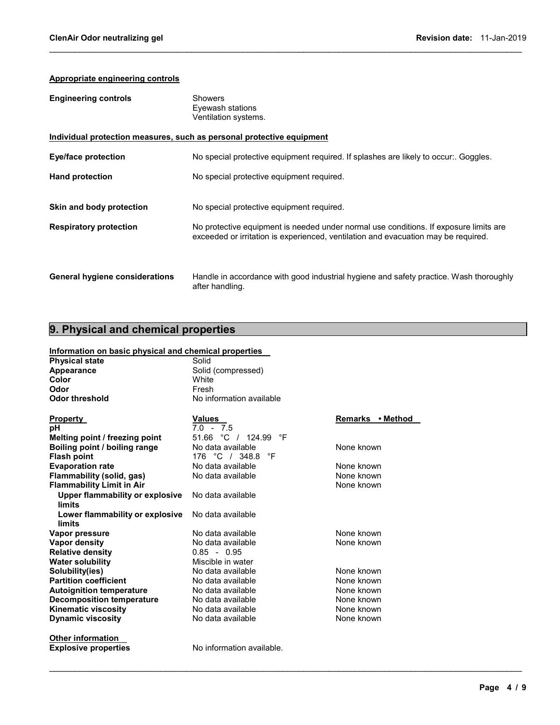#### Appropriate engineering controls

| <b>Engineering controls</b>           | <b>Showers</b><br>Eyewash stations<br>Ventilation systems.                                                                                                                  |
|---------------------------------------|-----------------------------------------------------------------------------------------------------------------------------------------------------------------------------|
|                                       | Individual protection measures, such as personal protective equipment                                                                                                       |
| <b>Eye/face protection</b>            | No special protective equipment required. If splashes are likely to occur:. Goggles.                                                                                        |
| <b>Hand protection</b>                | No special protective equipment required.                                                                                                                                   |
| Skin and body protection              | No special protective equipment required.                                                                                                                                   |
| <b>Respiratory protection</b>         | No protective equipment is needed under normal use conditions. If exposure limits are<br>exceeded or irritation is experienced, ventilation and evacuation may be required. |
| <b>General hygiene considerations</b> | Handle in accordance with good industrial hygiene and safety practice. Wash thoroughly<br>after handling.                                                                   |

 $\mathcal{L}_\mathcal{L} = \{ \mathcal{L}_\mathcal{L} = \{ \mathcal{L}_\mathcal{L} = \{ \mathcal{L}_\mathcal{L} = \{ \mathcal{L}_\mathcal{L} = \{ \mathcal{L}_\mathcal{L} = \{ \mathcal{L}_\mathcal{L} = \{ \mathcal{L}_\mathcal{L} = \{ \mathcal{L}_\mathcal{L} = \{ \mathcal{L}_\mathcal{L} = \{ \mathcal{L}_\mathcal{L} = \{ \mathcal{L}_\mathcal{L} = \{ \mathcal{L}_\mathcal{L} = \{ \mathcal{L}_\mathcal{L} = \{ \mathcal{L}_\mathcal{$ 

## 9. Physical and chemical properties

#### Information on basic physical and chemical properties

| <b>Physical state</b>                     | Solid                     |                  |
|-------------------------------------------|---------------------------|------------------|
| Appearance                                | Solid (compressed)        |                  |
| Color                                     | <b>White</b>              |                  |
| Odor                                      | Fresh                     |                  |
| <b>Odor threshold</b>                     | No information available  |                  |
| Property                                  | <b>Values</b>             | Remarks • Method |
| рH                                        | $7.0 - 7.5$               |                  |
| Melting point / freezing point            | 51.66 °C / 124.99<br>°F   |                  |
| Boiling point / boiling range             | No data available         | None known       |
| <b>Flash point</b>                        | °F<br>176 °C / 348.8      |                  |
| <b>Evaporation rate</b>                   | No data available         | None known       |
| Flammability (solid, gas)                 | No data available         | None known       |
| <b>Flammability Limit in Air</b>          |                           | None known       |
| Upper flammability or explosive<br>limits | No data available         |                  |
| Lower flammability or explosive           | No data available         |                  |
| limits                                    |                           |                  |
| Vapor pressure                            | No data available         | None known       |
| <b>Vapor density</b>                      | No data available         | None known       |
| <b>Relative density</b>                   | $0.85 - 0.95$             |                  |
| <b>Water solubility</b>                   | Miscible in water         |                  |
| Solubility(ies)                           | No data available         | None known       |
| <b>Partition coefficient</b>              | No data available         | None known       |
| <b>Autoignition temperature</b>           | No data available         | None known       |
| <b>Decomposition temperature</b>          | No data available         | None known       |
| <b>Kinematic viscosity</b>                | No data available         | None known       |
| <b>Dynamic viscosity</b>                  | No data available         | None known       |
| <b>Other information</b>                  |                           |                  |
| <b>Explosive properties</b>               | No information available. |                  |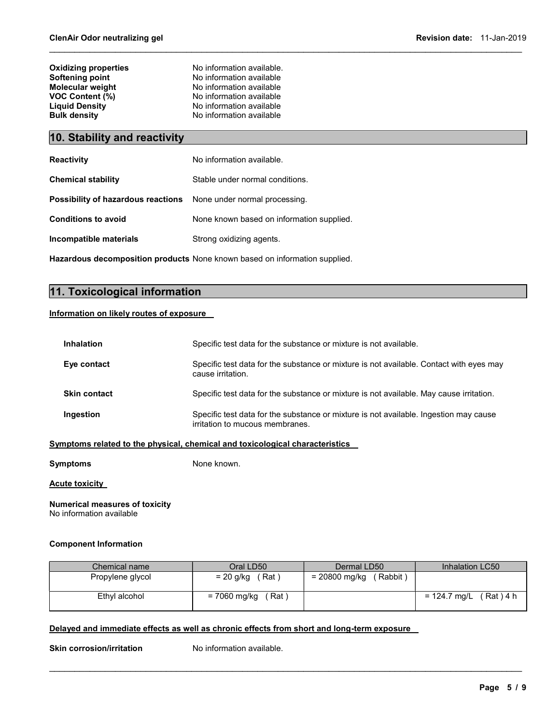| No information available. |
|---------------------------|
|                           |
| No information available  |
| No information available  |
| No information available  |
| No information available  |
| No information available  |
|                           |

### 10. Stability and reactivity

| <b>Reactivity</b>                                                       | No information available.                 |
|-------------------------------------------------------------------------|-------------------------------------------|
| <b>Chemical stability</b>                                               | Stable under normal conditions.           |
| <b>Possibility of hazardous reactions</b> None under normal processing. |                                           |
| <b>Conditions to avoid</b>                                              | None known based on information supplied. |
| Incompatible materials                                                  | Strong oxidizing agents.                  |

Hazardous decomposition products None known based on information supplied.

### 11. Toxicological information

#### Information on likely routes of exposure

| Inhalation          | Specific test data for the substance or mixture is not available.                                                        |
|---------------------|--------------------------------------------------------------------------------------------------------------------------|
| Eye contact         | Specific test data for the substance or mixture is not available. Contact with eyes may<br>cause irritation.             |
| <b>Skin contact</b> | Specific test data for the substance or mixture is not available. May cause irritation.                                  |
| Ingestion           | Specific test data for the substance or mixture is not available. Ingestion may cause<br>irritation to mucous membranes. |
|                     | Symptoms related to the physical, chemical and toxicological characteristics                                             |

 $\mathcal{L}_\mathcal{L} = \{ \mathcal{L}_\mathcal{L} = \{ \mathcal{L}_\mathcal{L} = \{ \mathcal{L}_\mathcal{L} = \{ \mathcal{L}_\mathcal{L} = \{ \mathcal{L}_\mathcal{L} = \{ \mathcal{L}_\mathcal{L} = \{ \mathcal{L}_\mathcal{L} = \{ \mathcal{L}_\mathcal{L} = \{ \mathcal{L}_\mathcal{L} = \{ \mathcal{L}_\mathcal{L} = \{ \mathcal{L}_\mathcal{L} = \{ \mathcal{L}_\mathcal{L} = \{ \mathcal{L}_\mathcal{L} = \{ \mathcal{L}_\mathcal{$ 

Symptoms None known.

Acute toxicity

#### Numerical measures of toxicity No information available

#### Component Information

| Chemical name    | Oral LD50             | Dermal LD50               | Inhalation LC50          |
|------------------|-----------------------|---------------------------|--------------------------|
| Propylene glycol | (Rat)<br>= 20 g/kg    | = 20800 mg/kg<br>(Rabbit) |                          |
| Ethyl alcohol    | = 7060 mg/kg<br>Rat ) |                           | $= 124.7$ mg/L (Rat) 4 h |

 $\mathcal{L}_\mathcal{L} = \{ \mathcal{L}_\mathcal{L} = \{ \mathcal{L}_\mathcal{L} = \{ \mathcal{L}_\mathcal{L} = \{ \mathcal{L}_\mathcal{L} = \{ \mathcal{L}_\mathcal{L} = \{ \mathcal{L}_\mathcal{L} = \{ \mathcal{L}_\mathcal{L} = \{ \mathcal{L}_\mathcal{L} = \{ \mathcal{L}_\mathcal{L} = \{ \mathcal{L}_\mathcal{L} = \{ \mathcal{L}_\mathcal{L} = \{ \mathcal{L}_\mathcal{L} = \{ \mathcal{L}_\mathcal{L} = \{ \mathcal{L}_\mathcal{$ 

#### Delayed and immediate effects as well as chronic effects from short and long-term exposure

Skin corrosion/irritation No information available.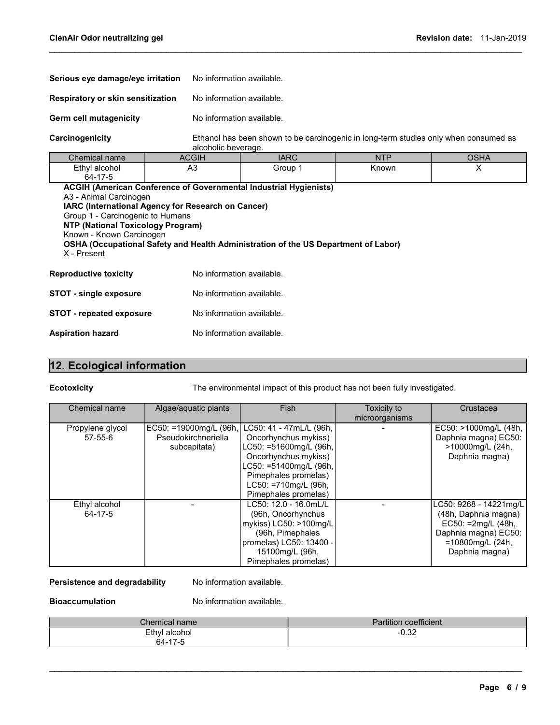| Serious eye damage/eye irritation<br>Respiratory or skin sensitization<br>Germ cell mutagenicity                                                                                                        |  | No information available. |                                                                                      |            |             |  |  |
|---------------------------------------------------------------------------------------------------------------------------------------------------------------------------------------------------------|--|---------------------------|--------------------------------------------------------------------------------------|------------|-------------|--|--|
|                                                                                                                                                                                                         |  | No information available. |                                                                                      |            |             |  |  |
|                                                                                                                                                                                                         |  | No information available. |                                                                                      |            |             |  |  |
| Carcinogenicity                                                                                                                                                                                         |  | alcoholic beverage.       | Ethanol has been shown to be carcinogenic in long-term studies only when consumed as |            |             |  |  |
| Chemical name                                                                                                                                                                                           |  | <b>ACGIH</b>              | <b>IARC</b>                                                                          | <b>NTP</b> | <b>OSHA</b> |  |  |
| Ethyl alcohol<br>64-17-5                                                                                                                                                                                |  | A <sub>3</sub>            | Group 1                                                                              | Known      | X           |  |  |
| A3 - Animal Carcinogen<br>IARC (International Agency for Research on Cancer)<br>Group 1 - Carcinogenic to Humans<br><b>NTP (National Toxicology Program)</b><br>Known - Known Carcinogen<br>X - Present |  |                           | OSHA (Occupational Safety and Health Administration of the US Department of Labor)   |            |             |  |  |
| <b>Reproductive toxicity</b>                                                                                                                                                                            |  | No information available. |                                                                                      |            |             |  |  |
| <b>STOT - single exposure</b>                                                                                                                                                                           |  | No information available. |                                                                                      |            |             |  |  |
| <b>STOT - repeated exposure</b>                                                                                                                                                                         |  | No information available. |                                                                                      |            |             |  |  |
| <b>Aspiration hazard</b>                                                                                                                                                                                |  | No information available. |                                                                                      |            |             |  |  |

 $\mathcal{L}_\mathcal{L} = \{ \mathcal{L}_\mathcal{L} = \{ \mathcal{L}_\mathcal{L} = \{ \mathcal{L}_\mathcal{L} = \{ \mathcal{L}_\mathcal{L} = \{ \mathcal{L}_\mathcal{L} = \{ \mathcal{L}_\mathcal{L} = \{ \mathcal{L}_\mathcal{L} = \{ \mathcal{L}_\mathcal{L} = \{ \mathcal{L}_\mathcal{L} = \{ \mathcal{L}_\mathcal{L} = \{ \mathcal{L}_\mathcal{L} = \{ \mathcal{L}_\mathcal{L} = \{ \mathcal{L}_\mathcal{L} = \{ \mathcal{L}_\mathcal{$ 

### 12. Ecological information

Ecotoxicity The environmental impact of this product has not been fully investigated.

| <b>Chemical name</b>              | Algae/aquatic plants                                          | <b>Fish</b>                                                                                                                                                                                         | Toxicity to<br>microorganisms | Crustacea                                                                                                                          |
|-----------------------------------|---------------------------------------------------------------|-----------------------------------------------------------------------------------------------------------------------------------------------------------------------------------------------------|-------------------------------|------------------------------------------------------------------------------------------------------------------------------------|
| Propylene glycol<br>$57 - 55 - 6$ | EC50: =19000mg/L (96h,<br>Pseudokirchneriella<br>subcapitata) | LC50: 41 - 47mL/L (96h,<br>Oncorhynchus mykiss)<br>LC50: =51600mg/L (96h,<br>Oncorhynchus mykiss)<br>LC50: =51400mg/L (96h,<br>Pimephales promelas)<br>LC50: =710mg/L (96h,<br>Pimephales promelas) |                               | EC50: >1000mg/L (48h,<br>Daphnia magna) EC50:<br>>10000mg/L (24h,<br>Daphnia magna)                                                |
| Ethyl alcohol<br>64-17-5          |                                                               | LC50: 12.0 - 16.0mL/L<br>(96h, Oncorhynchus<br>mykiss) LC50: >100mg/L<br>(96h, Pimephales<br>promelas) LC50: 13400 -<br>15100mg/L (96h,<br>Pimephales promelas)                                     |                               | LC50: 9268 - 14221mg/L<br>(48h, Daphnia magna)<br>EC50: =2mg/L (48h,<br>Daphnia magna) EC50:<br>=10800mg/L (24h,<br>Daphnia magna) |

#### Persistence and degradability Mo information available.

Bioaccumulation No information available.

| Chemical name                              | <b>Partition coefficient</b> |
|--------------------------------------------|------------------------------|
| Ethyl alcohol<br>. 47 F<br>$64-1$<br>. - - | റാറ<br>-∪.∍∠                 |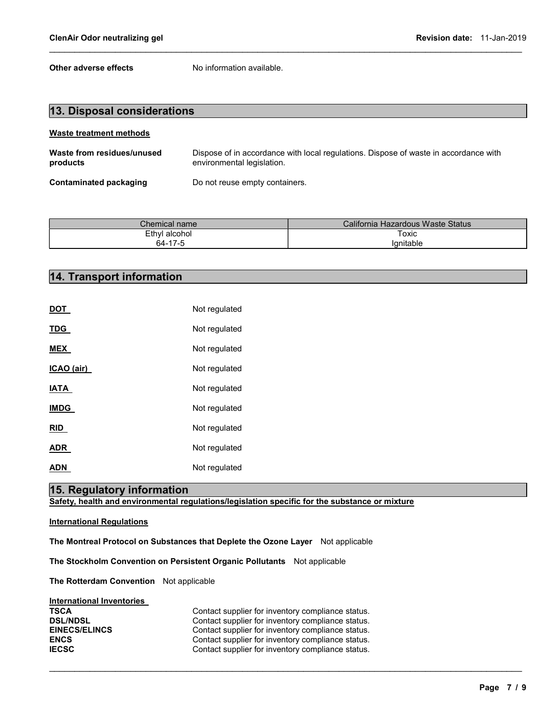Other adverse effects No information available.

| 13. Disposal considerations            |                                                                                                                    |  |  |  |  |
|----------------------------------------|--------------------------------------------------------------------------------------------------------------------|--|--|--|--|
| Waste treatment methods                |                                                                                                                    |  |  |  |  |
| Waste from residues/unused<br>products | Dispose of in accordance with local regulations. Dispose of waste in accordance with<br>environmental legislation. |  |  |  |  |
| Contaminated packaging                 | Do not reuse empty containers.                                                                                     |  |  |  |  |

 $\mathcal{L}_\mathcal{L} = \{ \mathcal{L}_\mathcal{L} = \{ \mathcal{L}_\mathcal{L} = \{ \mathcal{L}_\mathcal{L} = \{ \mathcal{L}_\mathcal{L} = \{ \mathcal{L}_\mathcal{L} = \{ \mathcal{L}_\mathcal{L} = \{ \mathcal{L}_\mathcal{L} = \{ \mathcal{L}_\mathcal{L} = \{ \mathcal{L}_\mathcal{L} = \{ \mathcal{L}_\mathcal{L} = \{ \mathcal{L}_\mathcal{L} = \{ \mathcal{L}_\mathcal{L} = \{ \mathcal{L}_\mathcal{L} = \{ \mathcal{L}_\mathcal{$ 

| $\mathcal L$ hemical name $\mathcal L$ | California Hazardous Waste Status |  |  |
|----------------------------------------|-----------------------------------|--|--|
| Ethyl alcohol                          | Toxic                             |  |  |
| 64-17-5                                | Ianitable                         |  |  |

## 14. Transport information

| DOT         | Not regulated |
|-------------|---------------|
| <b>TDG</b>  | Not regulated |
| <b>MEX</b>  | Not regulated |
| ICAO (air)  | Not regulated |
| IATA        | Not regulated |
| <b>IMDG</b> | Not regulated |
| <b>RID</b>  | Not regulated |
| ADR         | Not regulated |
| ADN         | Not regulated |

### 15. Regulatory information

Safety, health and environmental regulations/legislation specific for the substance or mixture

#### International Regulations

The Montreal Protocol on Substances that Deplete the Ozone Layer Not applicable

The Stockholm Convention on Persistent Organic Pollutants Not applicable

The Rotterdam Convention Not applicable

| <b>International Inventories</b> |  |
|----------------------------------|--|
|                                  |  |

| <b>TSCA</b>          | Contact supplier for inventory compliance status. |
|----------------------|---------------------------------------------------|
| <b>DSL/NDSL</b>      | Contact supplier for inventory compliance status. |
| <b>EINECS/ELINCS</b> | Contact supplier for inventory compliance status. |
| <b>ENCS</b>          | Contact supplier for inventory compliance status. |
| <b>IECSC</b>         | Contact supplier for inventory compliance status. |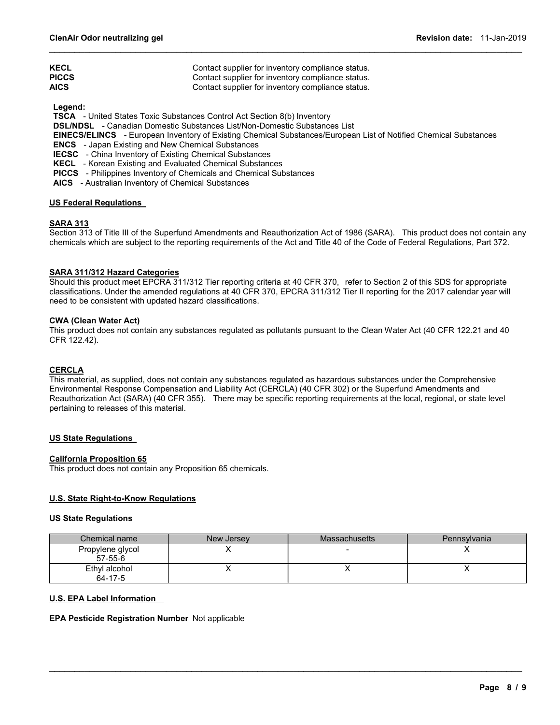| <b>KECL</b>  | Contact supplier for inventory compliance status. |
|--------------|---------------------------------------------------|
| <b>PICCS</b> | Contact supplier for inventory compliance status. |
| <b>AICS</b>  | Contact supplier for inventory compliance status. |

Legend:

TSCA - United States Toxic Substances Control Act Section 8(b) Inventory

DSL/NDSL - Canadian Domestic Substances List/Non-Domestic Substances List

EINECS/ELINCS - European Inventory of Existing Chemical Substances/European List of Notified Chemical Substances

 $\mathcal{L}_\mathcal{L} = \{ \mathcal{L}_\mathcal{L} = \{ \mathcal{L}_\mathcal{L} = \{ \mathcal{L}_\mathcal{L} = \{ \mathcal{L}_\mathcal{L} = \{ \mathcal{L}_\mathcal{L} = \{ \mathcal{L}_\mathcal{L} = \{ \mathcal{L}_\mathcal{L} = \{ \mathcal{L}_\mathcal{L} = \{ \mathcal{L}_\mathcal{L} = \{ \mathcal{L}_\mathcal{L} = \{ \mathcal{L}_\mathcal{L} = \{ \mathcal{L}_\mathcal{L} = \{ \mathcal{L}_\mathcal{L} = \{ \mathcal{L}_\mathcal{$ 

ENCS - Japan Existing and New Chemical Substances

IECSC - China Inventory of Existing Chemical Substances

KECL - Korean Existing and Evaluated Chemical Substances

PICCS - Philippines Inventory of Chemicals and Chemical Substances

AICS - Australian Inventory of Chemical Substances

#### US Federal Regulations

#### SARA 313

Section 313 of Title III of the Superfund Amendments and Reauthorization Act of 1986 (SARA). This product does not contain any chemicals which are subject to the reporting requirements of the Act and Title 40 of the Code of Federal Regulations, Part 372.

#### SARA 311/312 Hazard Categories

Should this product meet EPCRA 311/312 Tier reporting criteria at 40 CFR 370, refer to Section 2 of this SDS for appropriate classifications. Under the amended regulations at 40 CFR 370, EPCRA 311/312 Tier II reporting for the 2017 calendar year will need to be consistent with updated hazard classifications.

#### CWA (Clean Water Act)

This product does not contain any substances regulated as pollutants pursuant to the Clean Water Act (40 CFR 122.21 and 40 CFR 122.42).

#### **CERCLA**

This material, as supplied, does not contain any substances regulated as hazardous substances under the Comprehensive Environmental Response Compensation and Liability Act (CERCLA) (40 CFR 302) or the Superfund Amendments and Reauthorization Act (SARA) (40 CFR 355). There may be specific reporting requirements at the local, regional, or state level pertaining to releases of this material.

#### US State Regulations

#### California Proposition 65

This product does not contain any Proposition 65 chemicals.

#### U.S. State Right-to-Know Regulations

#### US State Regulations

| Chemical name                     | New Jersey | <b>Massachusetts</b> | Pennsylvania |
|-----------------------------------|------------|----------------------|--------------|
| Propylene glycol<br>$57 - 55 - 6$ |            |                      |              |
| Ethyl alcohol<br>64-17-5          |            |                      |              |

 $\mathcal{L}_\mathcal{L} = \{ \mathcal{L}_\mathcal{L} = \{ \mathcal{L}_\mathcal{L} = \{ \mathcal{L}_\mathcal{L} = \{ \mathcal{L}_\mathcal{L} = \{ \mathcal{L}_\mathcal{L} = \{ \mathcal{L}_\mathcal{L} = \{ \mathcal{L}_\mathcal{L} = \{ \mathcal{L}_\mathcal{L} = \{ \mathcal{L}_\mathcal{L} = \{ \mathcal{L}_\mathcal{L} = \{ \mathcal{L}_\mathcal{L} = \{ \mathcal{L}_\mathcal{L} = \{ \mathcal{L}_\mathcal{L} = \{ \mathcal{L}_\mathcal{$ 

#### U.S. EPA Label Information

#### EPA Pesticide Registration Number Not applicable